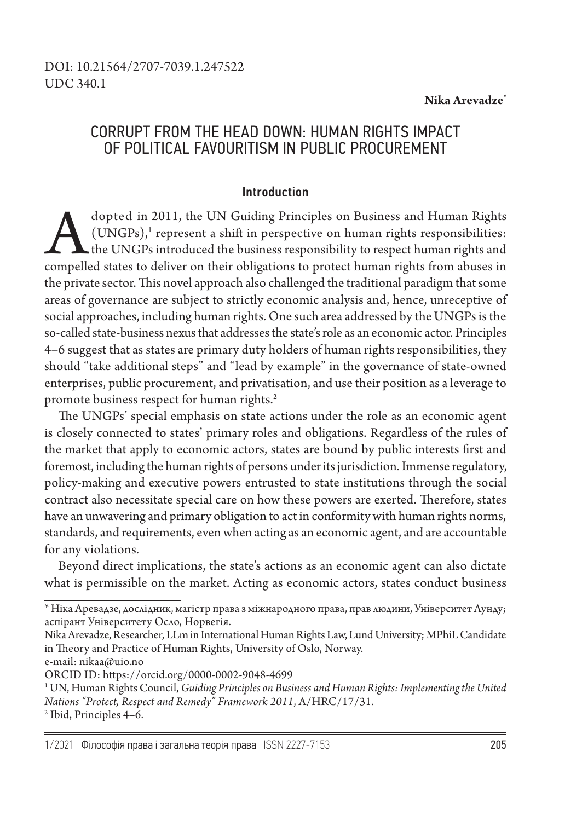#### **Nika Arevadze\***

# CORRUPT FROM THE HEAD DOWN: HUMAN RIGHTS IMPACT OF POLITICAL FAVOURITISM IN PUBLIC PROCUREMENT

## Introduction

dopted in 2011, the UN Guiding Principles on Business and Human Rights (UNGPs),<sup>1</sup> represent a shift in perspective on human rights responsibilities:<br>the UNGPs introduced the business responsibility to respect human rights  $(UNGPS)<sup>1</sup>$  represent a shift in perspective on human rights responsibilities: the UNGPs introduced the business responsibility to respect human rights and compelled states to deliver on their obligations to protect human rights from abuses in the private sector. This novel approach also challenged the traditional paradigm that some areas of governance are subject to strictly economic analysis and, hence, unreceptive of social approaches, including human rights. One such area addressed by the UNGPs is the so-called state-business nexus that addresses the state's role as an economic actor. Principles 4–6 suggest that as states are primary duty holders of human rights responsibilities, they should "take additional steps" and "lead by example" in the governance of state-owned enterprises, public procurement, and privatisation, and use their position as a leverage to promote business respect for human rights.<sup>2</sup>

The UNGPs' special emphasis on state actions under the role as an economic agent is closely connected to states' primary roles and obligations. Regardless of the rules of the market that apply to economic actors, states are bound by public interests first and foremost, including the human rights of persons under its jurisdiction. Immense regulatory, policy-making and executive powers entrusted to state institutions through the social contract also necessitate special care on how these powers are exerted. Therefore, states have an unwavering and primary obligation to act in conformity with human rights norms, standards, and requirements, even when acting as an economic agent, and are accountable for any violations.

Beyond direct implications, the state's actions as an economic agent can also dictate what is permissible on the market. Acting as economic actors, states conduct business

e-mail: nikaa@uio.no

<sup>\*</sup> Ніка Аревадзе, дослідник, магістр права з міжнародного права, прав людини, Університет Лунду; аспірант Університету Осло, Норвегія.

Nika Arevadze, Researcher, LLm in International Human Rights Law, Lund University; MPhiL Candidate in Theory and Practice of Human Rights, University of Oslo, Norway.

ORCID ID: https://orcid.org/0000-0002-9048-4699

<sup>1</sup> UN, Human Rights Council, *Guiding Principles on Business and Human Rights: Implementing the United Nations "Protect, Respect and Remedy" Framework 2011*, A/HRC/17/31. 2 Ibid, Principles 4–6.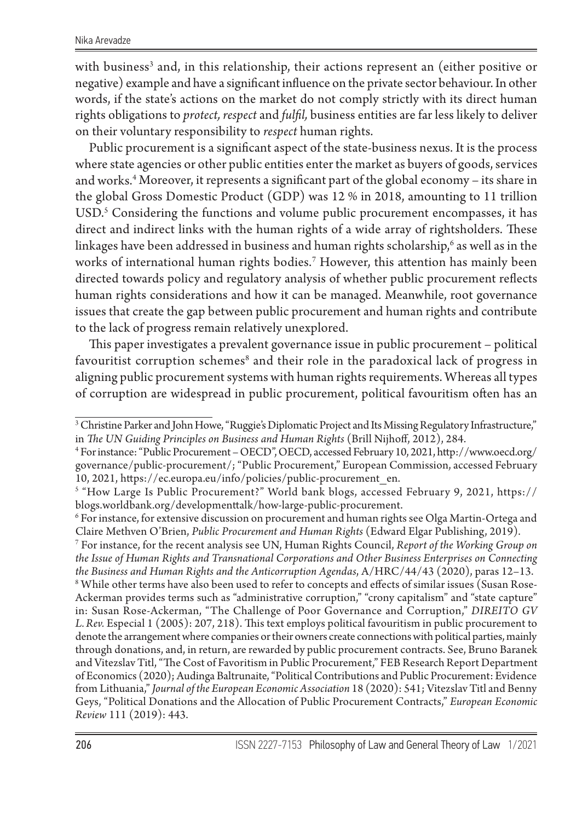with business<sup>3</sup> and, in this relationship, their actions represent an (either positive or negative) example and have a significant influence on the private sector behaviour. In other words, if the state's actions on the market do not comply strictly with its direct human rights obligations to *protect, respect* and *fulfil,* business entities are far less likely to deliver on their voluntary responsibility to *respect* human rights.

Public procurement is a significant aspect of the state-business nexus. It is the process where state agencies or other public entities enter the market as buyers of goods, services and works.4 Moreover, it represents a significant part of the global economy – its share in the global Gross Domestic Product (GDP) was 12 % in 2018, amounting to 11 trillion USD.5 Considering the functions and volume public procurement encompasses, it has direct and indirect links with the human rights of a wide array of rightsholders. These linkages have been addressed in business and human rights scholarship, $^{\rm 6}$  as well as in the works of international human rights bodies.7 However, this attention has mainly been directed towards policy and regulatory analysis of whether public procurement reflects human rights considerations and how it can be managed. Meanwhile, root governance issues that create the gap between public procurement and human rights and contribute to the lack of progress remain relatively unexplored.

This paper investigates a prevalent governance issue in public procurement – political favouritist corruption schemes $^{\rm 8}$  and their role in the paradoxical lack of progress in aligning public procurement systems with human rights requirements. Whereas all types of corruption are widespread in public procurement, political favouritism often has an

 $^3$  Christine Parker and John Howe, "Ruggie's Diplomatic Project and Its Missing Regulatory Infrastructure,"  $\,$ in *The UN Guiding Principles on Business and Human Rights* (Brill Nijhoff, 2012), 284.

<sup>4</sup> For instance: "Public Procurement – OECD", OECD, аccessed February 10, 2021, http://www.oecd.org/ governance/public-procurement/; "Public Procurement," European Commission, accessed February 10, 2021, https://ec.europa.eu/info/policies/public-procurement\_en.

<sup>5</sup> "How Large Is Public Procurement?" World bank blogs, accessed February 9, 2021, https:// blogs.worldbank.org/developmenttalk/how-large-public-procurement.

<sup>6</sup> For instance, for extensive discussion on procurement and human rights see Olga Martin-Ortega and Claire Methven O'Brien, *Public Procurement and Human Rights* (Edward Elgar Publishing, 2019).

<sup>7</sup> For instance, for the recent analysis see UN, Human Rights Council, *Report of the Working Group on the Issue of Human Rights and Transnational Corporations and Other Business Enterprises on Connecting the Business and Human Rights and the Anticorruption Agendas*, A/HRC/44/43 (2020), paras 12–13.

 $\rm{^8}$  While other terms have also been used to refer to concepts and effects of similar issues (Susan Rose-Ackerman provides terms such as "administrative corruption," "crony capitalism" and "state capture" in: Susan Rose-Ackerman, "The Challenge of Poor Governance and Corruption," *DIREITO GV L.Rev.* Especial 1 (2005): 207, 218). This text employs political favouritism in public procurement to denote the arrangement where companies or their owners create connections with political parties, mainly through donations, and, in return, are rewarded by public procurement contracts. See, Bruno Baranek and Vitezslav Titl, "The Cost of Favoritism in Public Procurement," FEB Research Report Department of Economics (2020); Audinga Baltrunaite, "Political Contributions and Public Procurement: Evidence from Lithuania," *Journal of the European Economic Association* 18 (2020): 541; Vitezslav Titl and Benny Geys, "Political Donations and the Allocation of Public Procurement Contracts," *European Economic Review* 111 (2019): 443.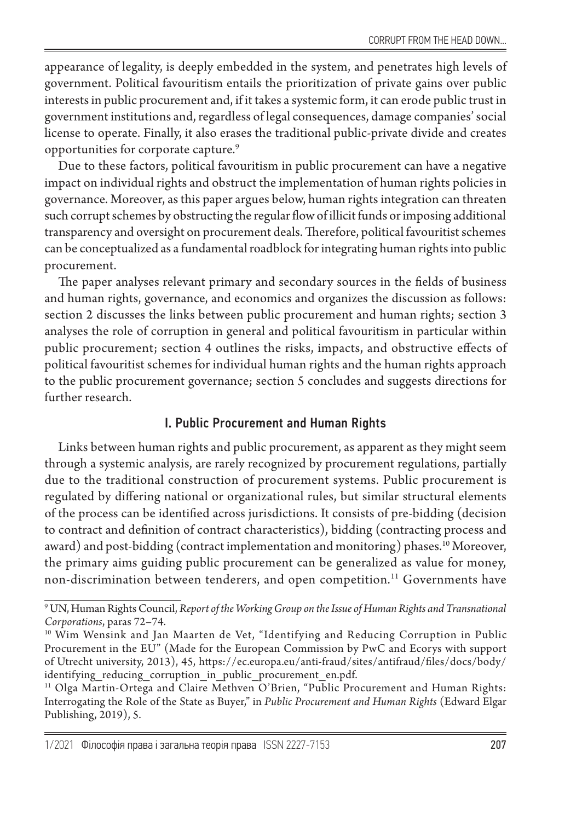appearance of legality, is deeply embedded in the system, and penetrates high levels of government. Political favouritism entails the prioritization of private gains over public interests in public procurement and, if it takes a systemic form, it can erode public trust in government institutions and, regardless of legal consequences, damage companies' social license to operate. Finally, it also erases the traditional public-private divide and creates opportunities for corporate capture.<sup>9</sup>

Due to these factors, political favouritism in public procurement can have a negative impact on individual rights and obstruct the implementation of human rights policies in governance. Moreover, as this paper argues below, human rights integration can threaten such corrupt schemes by obstructing the regular flow of illicit funds or imposing additional transparency and oversight on procurement deals. Therefore, political favouritist schemes can be conceptualized as a fundamental roadblock for integrating human rights into public procurement.

The paper analyses relevant primary and secondary sources in the fields of business and human rights, governance, and economics and organizes the discussion as follows: section 2 discusses the links between public procurement and human rights; section 3 analyses the role of corruption in general and political favouritism in particular within public procurement; section 4 outlines the risks, impacts, and obstructive effects of political favouritist schemes for individual human rights and the human rights approach to the public procurement governance; section 5 concludes and suggests directions for further research.

## I. Public Procurement and Human Rights

Links between human rights and public procurement, as apparent as they might seem through a systemic analysis, are rarely recognized by procurement regulations, partially due to the traditional construction of procurement systems. Public procurement is regulated by differing national or organizational rules, but similar structural elements of the process can be identified across jurisdictions. It consists of pre-bidding (decision to contract and definition of contract characteristics), bidding (contracting process and award) and post-bidding (contract implementation and monitoring) phases.<sup>10</sup> Moreover, the primary aims guiding public procurement can be generalized as value for money, non-discrimination between tenderers, and open competition.<sup>11</sup> Governments have

<sup>9</sup> UN, Human Rights Council, *Report of the Working Group on the Issue of Human Rights and Transnational Corporations*, paras 72–74.

<sup>&</sup>lt;sup>10</sup> Wim Wensink and Jan Maarten de Vet, "Identifying and Reducing Corruption in Public Procurement in the EU" (Made for the European Commission by PwC and Ecorys with support of Utrecht university, 2013), 45, https://ec.europa.eu/anti-fraud/sites/antifraud/files/docs/body/ identifying reducing corruption in public procurement en.pdf.

<sup>&</sup>lt;sup>11</sup> Olga Martin-Ortega and Claire Methven O'Brien, "Public Procurement and Human Rights: Interrogating the Role of the State as Buyer," in *Public Procurement and Human Rights* (Edward Elgar Publishing, 2019), 5.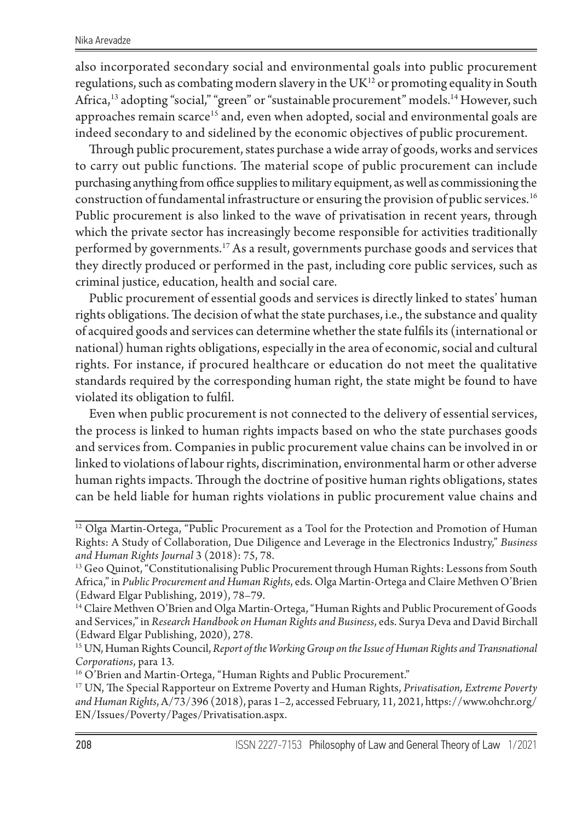also incorporated secondary social and environmental goals into public procurement regulations, such as combating modern slavery in the  $UK^{12}$  or promoting equality in South Africa,<sup>13</sup> adopting "social," "green" or "sustainable procurement" models.<sup>14</sup> However, such approaches remain scarce<sup>15</sup> and, even when adopted, social and environmental goals are indeed secondary to and sidelined by the economic objectives of public procurement.

Through public procurement, states purchase a wide array of goods, works and services to carry out public functions. The material scope of public procurement can include purchasing anything from office supplies to military equipment, as well as commissioning the construction of fundamental infrastructure or ensuring the provision of public services.<sup>16</sup> Public procurement is also linked to the wave of privatisation in recent years, through which the private sector has increasingly become responsible for activities traditionally performed by governments.17 As a result, governments purchase goods and services that they directly produced or performed in the past, including core public services, such as criminal justice, education, health and social care.

Public procurement of essential goods and services is directly linked to states' human rights obligations. The decision of what the state purchases, i.e., the substance and quality of acquired goods and services can determine whether the state fulfils its (international or national) human rights obligations, especially in the area of economic, social and cultural rights. For instance, if procured healthcare or education do not meet the qualitative standards required by the corresponding human right, the state might be found to have violated its obligation to fulfil.

Even when public procurement is not connected to the delivery of essential services, the process is linked to human rights impacts based on who the state purchases goods and services from. Companies in public procurement value chains can be involved in or linked to violations of labour rights, discrimination, environmental harm or other adverse human rights impacts. Through the doctrine of positive human rights obligations, states can be held liable for human rights violations in public procurement value chains and

<sup>&</sup>lt;sup>12</sup> Olga Martin-Ortega, "Public Procurement as a Tool for the Protection and Promotion of Human Rights: A Study of Collaboration, Due Diligence and Leverage in the Electronics Industry," *Business and Human Rights Journal* 3 (2018): 75, 78.

<sup>&</sup>lt;sup>13</sup> Geo Quinot, "Constitutionalising Public Procurement through Human Rights: Lessons from South Africa," in *Public Procurement and Human Rights*, eds. Olga Martin-Ortega and Claire Methven O'Brien (Edward Elgar Publishing, 2019), 78–79.

<sup>14</sup> Claire Methven O'Brien and Olga Martin-Ortega, "Human Rights and Public Procurement of Goods and Services," in *Research Handbook on Human Rights and Business*, eds. Surya Deva and David Birchall (Edward Elgar Publishing, 2020), 278.

<sup>&</sup>lt;sup>15</sup> UN, Human Rights Council, *Report of the Working Group on the Issue of Human Rights and Transnational Corporations*, para 13*.*

<sup>&</sup>lt;sup>16</sup> O'Brien and Martin-Ortega, "Human Rights and Public Procurement."

<sup>17</sup> UN, The Special Rapporteur on Extreme Poverty and Human Rights, *Privatisation, Extreme Poverty and Human Rights*, A/73/396 (2018), paras 1–2, accessed February, 11, 2021, https://www.ohchr.org/ EN/Issues/Poverty/Pages/Privatisation.aspx.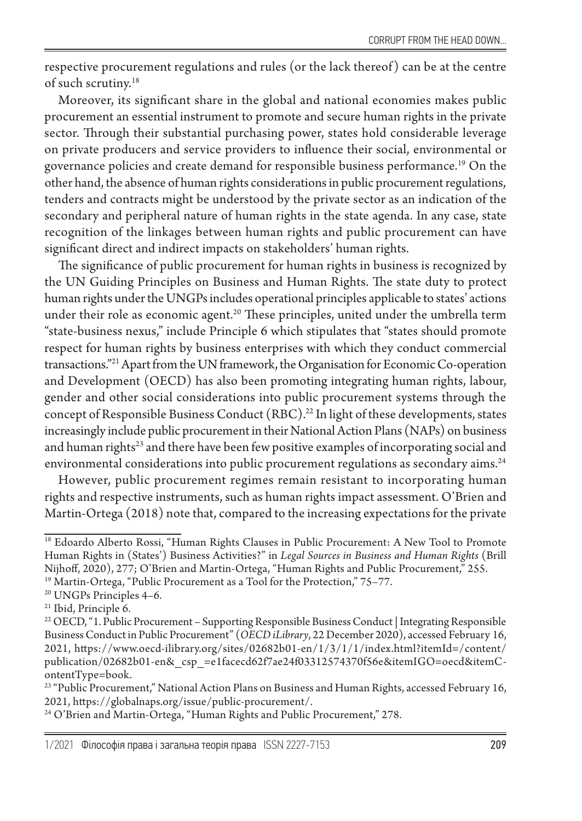respective procurement regulations and rules (or the lack thereof ) can be at the centre of such scrutiny.18

Moreover, its significant share in the global and national economies makes public procurement an essential instrument to promote and secure human rights in the private sector. Through their substantial purchasing power, states hold considerable leverage on private producers and service providers to influence their social, environmental or governance policies and create demand for responsible business performance.19 On the other hand, the absence of human rights considerations in public procurement regulations, tenders and contracts might be understood by the private sector as an indication of the secondary and peripheral nature of human rights in the state agenda. In any case, state recognition of the linkages between human rights and public procurement can have significant direct and indirect impacts on stakeholders' human rights.

The significance of public procurement for human rights in business is recognized by the UN Guiding Principles on Business and Human Rights. The state duty to protect human rights under the UNGPs includes operational principles applicable to states' actions under their role as economic agent.<sup>20</sup> These principles, united under the umbrella term "state-business nexus," include Principle 6 which stipulates that "states should promote respect for human rights by business enterprises with which they conduct commercial transactions."21 Apart from the UN framework, the Organisation for Economic Co-operation and Development (OECD) has also been promoting integrating human rights, labour, gender and other social considerations into public procurement systems through the concept of Responsible Business Conduct (RBC).<sup>22</sup> In light of these developments, states increasingly include public procurement in their National Action Plans (NAPs) on business and human rights<sup>23</sup> and there have been few positive examples of incorporating social and environmental considerations into public procurement regulations as secondary aims.<sup>24</sup>

However, public procurement regimes remain resistant to incorporating human rights and respective instruments, such as human rights impact assessment. O'Brien and Martin-Ortega (2018) note that, compared to the increasing expectations for the private

<sup>&</sup>lt;sup>18</sup> Edoardo Alberto Rossi, "Human Rights Clauses in Public Procurement: A New Tool to Promote Human Rights in (States') Business Activities?" in *Legal Sources in Business and Human Rights* (Brill Nijhoff, 2020), 277; O'Brien and Martin-Ortega, "Human Rights and Public Procurement," 255.

<sup>&</sup>lt;sup>19</sup> Martin-Ortega, "Public Procurement as a Tool for the Protection," 75-77.

<sup>&</sup>lt;sup>20</sup> UNGPs Principles 4-6.

<sup>21</sup> Іbid, Principle 6.

<sup>&</sup>lt;sup>22</sup> OECD, "1. Public Procurement – Supporting Responsible Business Conduct | Integrating Responsible Business Conduct in Public Procurement" (*OECD iLibrary*, 22 December 2020), accessed February 16, 2021, https://www.oecd-ilibrary.org/sites/02682b01-en/1/3/1/1/index.html?itemId=/content/ publication/02682b01-en&\_csp\_=e1facecd62f7ae24f03312574370f56e&itemIGO=oecd&itemContentType=book.

<sup>23 &</sup>quot;Public Procurement," National Action Plans on Business and Human Rights, accessed February 16, 2021, https://globalnaps.org/issue/public-procurement/.

<sup>&</sup>lt;sup>24</sup> O'Brien and Martin-Ortega, "Human Rights and Public Procurement," 278.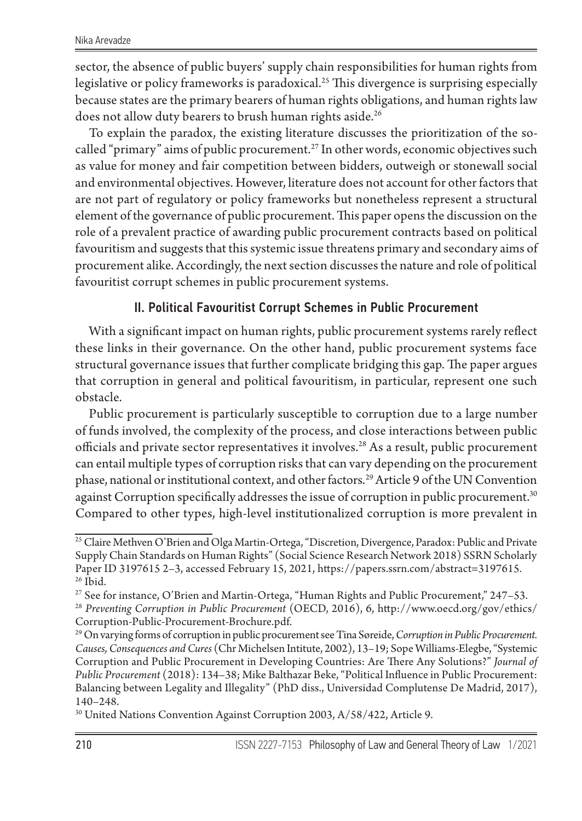sector, the absence of public buyers' supply chain responsibilities for human rights from legislative or policy frameworks is paradoxical.<sup>25</sup> This divergence is surprising especially because states are the primary bearers of human rights obligations, and human rights law does not allow duty bearers to brush human rights aside.<sup>26</sup>

To explain the paradox, the existing literature discusses the prioritization of the socalled "primary" aims of public procurement.<sup>27</sup> In other words, economic objectives such as value for money and fair competition between bidders, outweigh or stonewall social and environmental objectives. However, literature does not account for other factors that are not part of regulatory or policy frameworks but nonetheless represent a structural element of the governance of public procurement. This paper opens the discussion on the role of a prevalent practice of awarding public procurement contracts based on political favouritism and suggests that this systemic issue threatens primary and secondary aims of procurement alike. Accordingly, the next section discusses the nature and role of political favouritist corrupt schemes in public procurement systems.

# II. Political Favouritist Corrupt Schemes in Public Procurement

With a significant impact on human rights, public procurement systems rarely reflect these links in their governance. On the other hand, public procurement systems face structural governance issues that further complicate bridging this gap. The paper argues that corruption in general and political favouritism, in particular, represent one such obstacle.

Public procurement is particularly susceptible to corruption due to a large number of funds involved, the complexity of the process, and close interactions between public officials and private sector representatives it involves.28 As a result, public procurement can entail multiple types of corruption risks that can vary depending on the procurement phase, national or institutional context, and other factors.<sup>29</sup> Article 9 of the UN Convention against Corruption specifically addresses the issue of corruption in public procurement. $^{30}$ Compared to other types, high-level institutionalized corruption is more prevalent in

<sup>30</sup> United Nations Convention Against Corruption 2003, A/58/422, Article 9.

<sup>&</sup>lt;sup>25</sup> Claire Methven O'Brien and Olga Martin-Ortega, "Discretion, Divergence, Paradox: Public and Private Supply Chain Standards on Human Rights" (Social Science Research Network 2018) SSRN Scholarly Paper ID 3197615 2–3, accessed February 15, 2021, https://papers.ssrn.com/abstract=3197615. <sup>26</sup> Ibid.

<sup>27</sup> See for instance, O'Brien and Martin-Ortega, "Human Rights and Public Procurement," 247–53.

<sup>28</sup> *Preventing Corruption in Public Procurement* (OECD, 2016), 6, http://www.oecd.org/gov/ethics/ Corruption-Public-Procurement-Brochure.pdf.

<sup>29</sup> On varying forms of corruption in public procurement see Tina Søreide, *Corruption in Public Procurement. Causes, Consequences and Cures* (Chr Michelsen Intitute, 2002), 13–19; Sope Williams-Elegbe, "Systemic Corruption and Public Procurement in Developing Countries: Are There Any Solutions?" *Journal of Public Procurement* (2018): 134–38; Mike Balthazar Beke, "Political Influence in Public Procurement: Balancing between Legality and Illegality" (PhD diss., Universidad Complutense De Madrid, 2017), 140–248.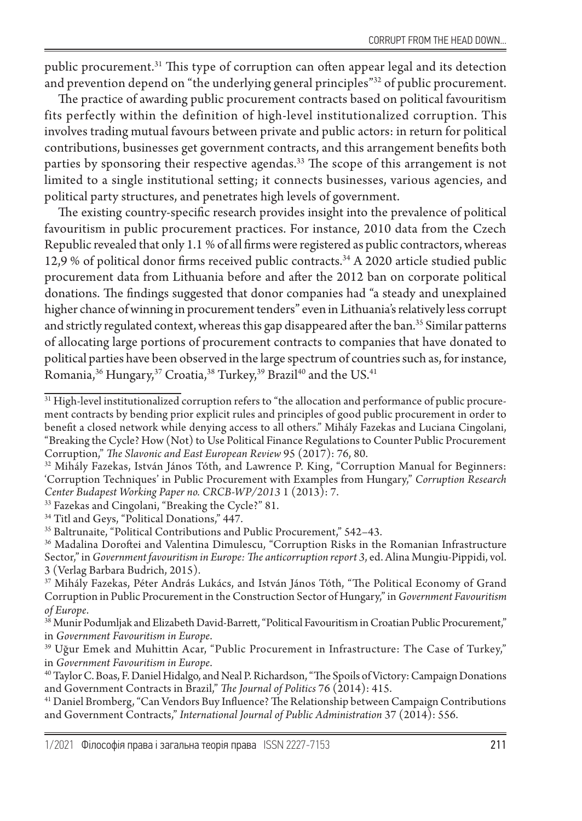public procurement.31 This type of corruption can often appear legal and its detection and prevention depend on "the underlying general principles"<sup>32</sup> of public procurement.

The practice of awarding public procurement contracts based on political favouritism fits perfectly within the definition of high-level institutionalized corruption. This involves trading mutual favours between private and public actors: in return for political contributions, businesses get government contracts, and this arrangement benefits both parties by sponsoring their respective agendas.<sup>33</sup> The scope of this arrangement is not limited to a single institutional setting; it connects businesses, various agencies, and political party structures, and penetrates high levels of government.

The existing country-specific research provides insight into the prevalence of political favouritism in public procurement practices. For instance, 2010 data from the Czech Republic revealed that only 1.1 % of all firms were registered as public contractors, whereas 12,9 % of political donor firms received public contracts.34 A 2020 article studied public procurement data from Lithuania before and after the 2012 ban on corporate political donations. The findings suggested that donor companies had "a steady and unexplained higher chance of winning in procurement tenders" even in Lithuania's relatively less corrupt and strictly regulated context, whereas this gap disappeared after the ban.<sup>35</sup> Similar patterns of allocating large portions of procurement contracts to companies that have donated to political parties have been observed in the large spectrum of countries such as, for instance, Romania,<sup>36</sup> Hungary,<sup>37</sup> Croatia,<sup>38</sup> Turkey,<sup>39</sup> Brazil<sup>40</sup> and the US.<sup>41</sup>

33 Fazekas and Cingolani, "Breaking the Cycle?" 81.

<sup>&</sup>lt;sup>31</sup> High-level institutionalized corruption refers to "the allocation and performance of public procurement contracts by bending prior explicit rules and principles of good public procurement in order to benefit a closed network while denying access to all others." Mihály Fazekas and Luciana Cingolani, "Breaking the Cycle? How (Not) to Use Political Finance Regulations to Counter Public Procurement

Corruption," *The Slavonic and East European Review* 95 (2017): 76, 80.<br><sup>32</sup> Mihály Fazekas, István János Tóth, and Lawrence P. King, "Corruption Manual for Beginners: 'Corruption Techniques' in Public Procurement with Examples from Hungary," *Corruption Research Center Budapest Working Paper no. CRCB-WP/2013* 1 (2013): 7.

<sup>&</sup>lt;sup>34</sup> Titl and Geys, "Political Donations," 447.

<sup>35</sup> Baltrunaite, "Political Contributions and Public Procurement," 542–43.

<sup>&</sup>lt;sup>36</sup> Madalina Doroftei and Valentina Dimulescu, "Corruption Risks in the Romanian Infrastructure Sector," in *Government favouritism in Europe: The anticorruption report 3*, ed. Alina Mungiu-Pippidi, vol. 3 (Verlag Barbara Budrich, 2015).

<sup>&</sup>lt;sup>37</sup> Mihály Fazekas, Péter András Lukács, and István János Tóth, "The Political Economy of Grand Corruption in Public Procurement in the Construction Sector of Hungary," in *Government Favouritism of Europe*.

<sup>&</sup>lt;sup>38</sup> Munir Podumljak and Elizabeth David-Barrett, "Political Favouritism in Croatian Public Procurement," in *Government Favouritism in Europe*.

<sup>&</sup>lt;sup>39</sup> Uğur Emek and Muhittin Acar, "Public Procurement in Infrastructure: The Case of Turkey," in *Government Favouritism in Europe*.

<sup>40</sup> Taylor C. Boas, F. Daniel Hidalgo, and Neal P. Richardson, "The Spoils of Victory: Campaign Donations and Government Contracts in Brazil," *The Journal of Politics* 76 (2014): 415.

<sup>41</sup> Daniel Bromberg, "Can Vendors Buy Influence? The Relationship between Campaign Contributions and Government Contracts," *International Journal of Public Administration* 37 (2014): 556.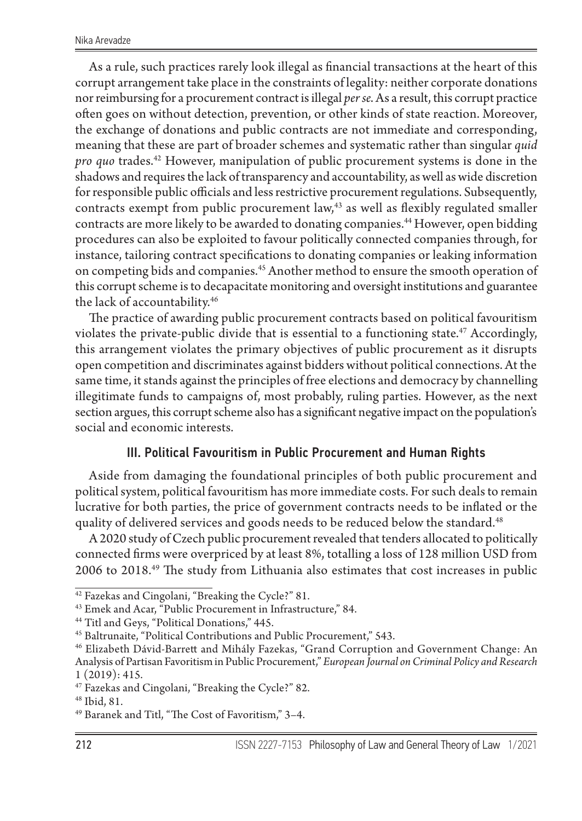As a rule, such practices rarely look illegal as financial transactions at the heart of this corrupt arrangement take place in the constraints of legality: neither corporate donations nor reimbursing for a procurement contract is illegal *per se*. As a result, this corrupt practice often goes on without detection, prevention, or other kinds of state reaction. Moreover, the exchange of donations and public contracts are not immediate and corresponding, meaning that these are part of broader schemes and systematic rather than singular *quid pro quo* trades.<sup>42</sup> However, manipulation of public procurement systems is done in the shadows and requires the lack of transparency and accountability, as well as wide discretion for responsible public officials and less restrictive procurement regulations. Subsequently, contracts exempt from public procurement law, $43$  as well as flexibly regulated smaller contracts are more likely to be awarded to donating companies.44 However, open bidding procedures can also be exploited to favour politically connected companies through, for instance, tailoring contract specifications to donating companies or leaking information on competing bids and companies.<sup>45</sup> Another method to ensure the smooth operation of this corrupt scheme is to decapacitate monitoring and oversight institutions and guarantee the lack of accountability.46

The practice of awarding public procurement contracts based on political favouritism violates the private-public divide that is essential to a functioning state.<sup>47</sup> Accordingly, this arrangement violates the primary objectives of public procurement as it disrupts open competition and discriminates against bidders without political connections. At the same time, it stands against the principles of free elections and democracy by channelling illegitimate funds to campaigns of, most probably, ruling parties. However, as the next section argues, this corrupt scheme also has a significant negative impact on the population's social and economic interests.

# III. Political Favouritism in Public Procurement and Human Rights

Aside from damaging the foundational principles of both public procurement and political system, political favouritism has more immediate costs. For such deals to remain lucrative for both parties, the price of government contracts needs to be inflated or the quality of delivered services and goods needs to be reduced below the standard.<sup>48</sup>

A 2020 study of Czech public procurement revealed that tenders allocated to politically connected firms were overpriced by at least 8%, totalling a loss of 128 million USD from 2006 to 2018.49 The study from Lithuania also estimates that cost increases in public

<sup>42</sup> Fazekas and Cingolani, "Breaking the Cycle?" 81.

<sup>43</sup> Emek and Acar, "Public Procurement in Infrastructure," 84.

<sup>&</sup>lt;sup>44</sup> Titl and Geys, "Political Donations," 445.

<sup>45</sup> Baltrunaite, "Political Contributions and Public Procurement," 543.

<sup>46</sup> Elizabeth Dávid-Barrett and Mihály Fazekas, "Grand Corruption and Government Change: An Analysis of Partisan Favoritism in Public Procurement," *European Journal on Criminal Policy and Research*  1 (2019): 415.

<sup>47</sup> Fazekas and Cingolani, "Breaking the Cycle?" 82.

<sup>48</sup> Іbid, 81.

<sup>49</sup> Baranek and Titl, "The Cost of Favoritism," 3–4.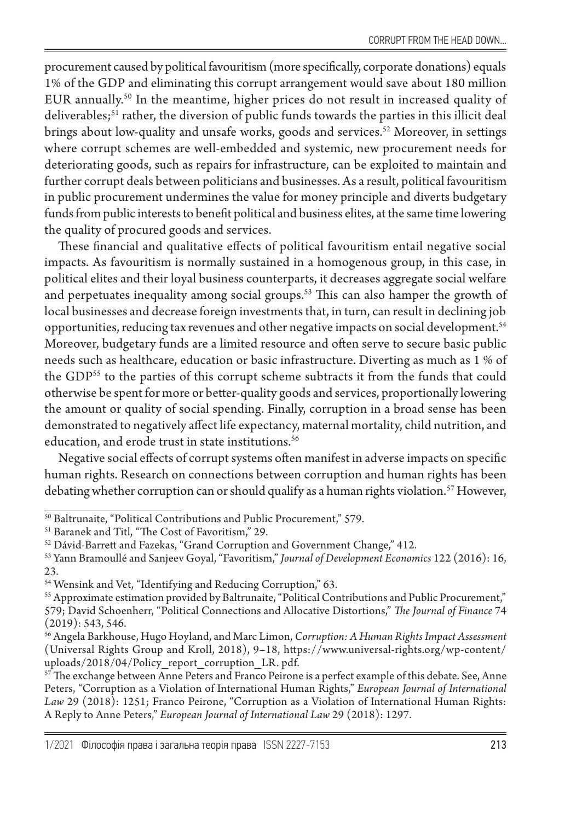procurement caused by political favouritism (more specifically, corporate donations) equals 1% of the GDP and eliminating this corrupt arrangement would save about 180 million EUR annually.50 In the meantime, higher prices do not result in increased quality of deliverables;<sup>51</sup> rather, the diversion of public funds towards the parties in this illicit deal brings about low-quality and unsafe works, goods and services.<sup>52</sup> Moreover, in settings where corrupt schemes are well-embedded and systemic, new procurement needs for deteriorating goods, such as repairs for infrastructure, can be exploited to maintain and further corrupt deals between politicians and businesses. As a result, political favouritism in public procurement undermines the value for money principle and diverts budgetary funds from public interests to benefit political and business elites, at the same time lowering the quality of procured goods and services.

These financial and qualitative effects of political favouritism entail negative social impacts. As favouritism is normally sustained in a homogenous group, in this case, in political elites and their loyal business counterparts, it decreases aggregate social welfare and perpetuates inequality among social groups.<sup>53</sup> This can also hamper the growth of local businesses and decrease foreign investments that, in turn, can result in declining job opportunities, reducing tax revenues and other negative impacts on social development.<sup>54</sup> Moreover, budgetary funds are a limited resource and often serve to secure basic public needs such as healthcare, education or basic infrastructure. Diverting as much as 1 % of the GDP<sup>55</sup> to the parties of this corrupt scheme subtracts it from the funds that could otherwise be spent for more or better-quality goods and services, proportionally lowering the amount or quality of social spending. Finally, corruption in a broad sense has been demonstrated to negatively affect life expectancy, maternal mortality, child nutrition, and education, and erode trust in state institutions.<sup>56</sup>

Negative social effects of corrupt systems often manifest in adverse impacts on specific human rights. Research on connections between corruption and human rights has been debating whether corruption can or should qualify as a human rights violation.<sup>57</sup> However,

<sup>&</sup>lt;sup>50</sup> Baltrunaite, "Political Contributions and Public Procurement," 579.

<sup>51</sup> Baranek and Titl, "The Cost of Favoritism," 29.

<sup>52</sup> Dávid-Barrett and Fazekas, "Grand Corruption and Government Change," 412.

<sup>53</sup> Yann Bramoullé and Sanjeev Goyal, "Favoritism," *Journal of Development Economics* 122 (2016): 16, 23.

<sup>54</sup> Wensink and Vet, "Identifying and Reducing Corruption," 63.

<sup>55</sup> Approximate estimation provided by Baltrunaite, "Political Contributions and Public Procurement," 579; David Schoenherr, "Political Connections and Allocative Distortions," *The Journal of Finance* 74 (2019): 543, 546.

<sup>56</sup> Angela Barkhouse, Hugo Hoyland, and Marc Limon, *Corruption: A Human Rights Impact Assessment* (Universal Rights Group and Kroll, 2018), 9–18, https://www.universal-rights.org/wp-content/ uploads/2018/04/Policy\_report\_corruption\_LR. pdf.

 $57$  The exchange between Anne Peters and Franco Peirone is a perfect example of this debate. See, Anne Peters, "Corruption as a Violation of International Human Rights," *European Journal of International Law* 29 (2018): 1251; Franco Peirone, "Corruption as a Violation of International Human Rights: A Reply to Anne Peters," *European Journal of International Law* 29 (2018): 1297.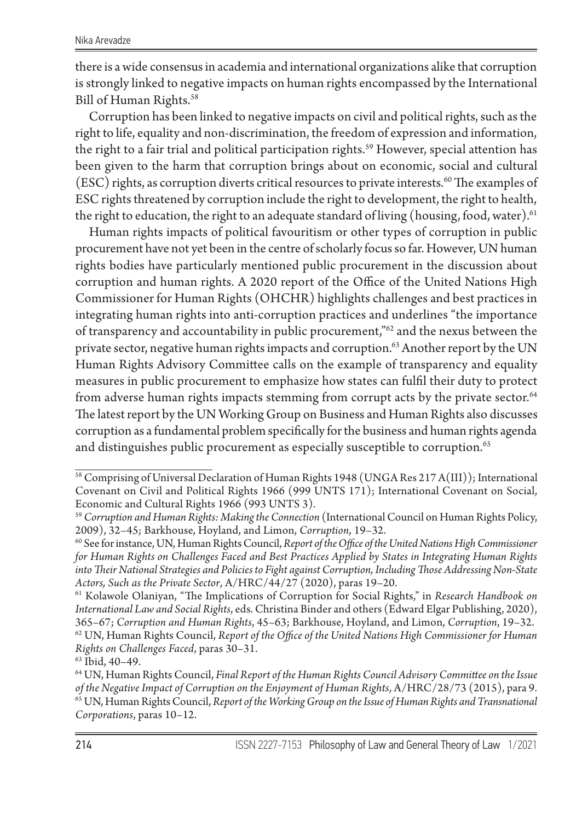there is a wide consensus in academia and international organizations alike that corruption is strongly linked to negative impacts on human rights encompassed by the International Bill of Human Rights.<sup>58</sup>

Corruption has been linked to negative impacts on civil and political rights, such as the right to life, equality and non-discrimination, the freedom of expression and information, the right to a fair trial and political participation rights.<sup>59</sup> However, special attention has been given to the harm that corruption brings about on economic, social and cultural  $(ESC)$  rights, as corruption diverts critical resources to private interests.<sup>60</sup> The examples of ESC rights threatened by corruption include the right to development, the right to health, the right to education, the right to an adequate standard of living (housing, food, water).<sup>61</sup>

Human rights impacts of political favouritism or other types of corruption in public procurement have not yet been in the centre of scholarly focus so far. However, UN human rights bodies have particularly mentioned public procurement in the discussion about corruption and human rights. A 2020 report of the Office of the United Nations High Commissioner for Human Rights (OHCHR) highlights challenges and best practices in integrating human rights into anti-corruption practices and underlines "the importance of transparency and accountability in public procurement,"62 and the nexus between the private sector, negative human rights impacts and corruption.<sup>63</sup> Another report by the UN Human Rights Advisory Committee calls on the example of transparency and equality measures in public procurement to emphasize how states can fulfil their duty to protect from adverse human rights impacts stemming from corrupt acts by the private sector.<sup>64</sup> The latest report by the UN Working Group on Business and Human Rights also discusses corruption as a fundamental problem specifically for the business and human rights agenda and distinguishes public procurement as especially susceptible to corruption.<sup>65</sup>

61 Kolawole Olaniyan, "The Implications of Corruption for Social Rights," in *Research Handbook on International Law and Social Rights*, eds. Christina Binder and others (Edward Elgar Publishing, 2020), 365–67; *Corruption and Human Rights*, 45–63; Barkhouse, Hoyland, and Limon, *Corruption*, 19–32. 62 UN, Human Rights Council, *Report of the Office of the United Nations High Commissioner for Human Rights on Challenges Faced*, paras 30–31.

63 Іbid, 40–49.

<sup>58</sup> Comprising of Universal Declaration of Human Rights 1948 (UNGA Res 217 A(III)); International Covenant on Civil and Political Rights 1966 (999 UNTS 171); International Covenant on Social, Economic and Cultural Rights 1966 (993 UNTS 3).

<sup>59</sup> *Corruption and Human Rights: Making the Connection* (International Council on Human Rights Policy, 2009), 32–45; Barkhouse, Hoyland, and Limon, *Corruption*, 19–32.

<sup>60</sup> See for instance, UN, Human Rights Council, *Report of the Office of the United Nations High Commissioner for Human Rights on Challenges Faced and Best Practices Applied by States in Integrating Human Rights into Their National Strategies and Policies to Fight against Corruption, Including Those Addressing Non-State Actors, Such as the Private Sector*, A/HRC/44/27 (2020), paras 19–20.

<sup>64</sup> UN, Human Rights Council, *Final Report of the Human Rights Council Advisory Committee on the Issue of the Negative Impact of Corruption on the Enjoyment of Human Rights*, A/HRC/28/73 (2015), para 9. 65 UN, Human Rights Council, *Report of the Working Group on the Issue of Human Rights and Transnational Corporations*, paras 10–12.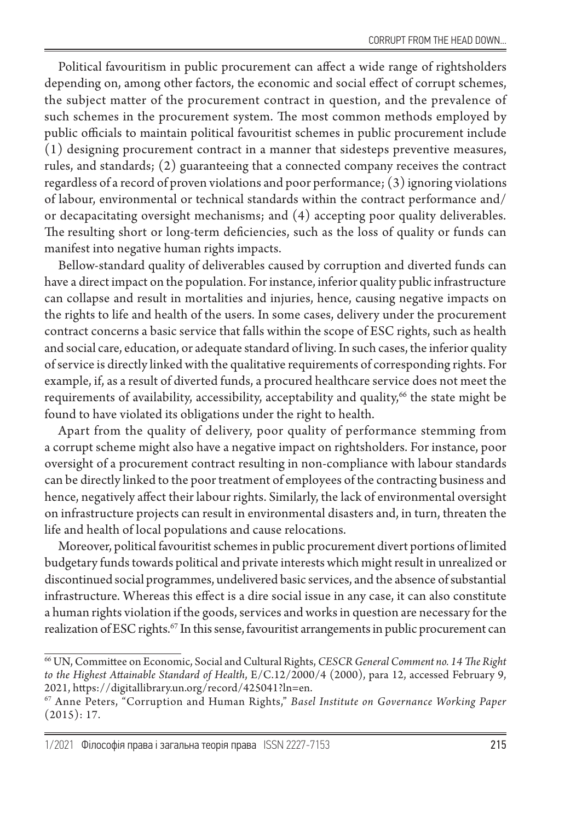Political favouritism in public procurement can affect a wide range of rightsholders depending on, among other factors, the economic and social effect of corrupt schemes, the subject matter of the procurement contract in question, and the prevalence of such schemes in the procurement system. The most common methods employed by public officials to maintain political favouritist schemes in public procurement include (1) designing procurement contract in a manner that sidesteps preventive measures, rules, and standards; (2) guaranteeing that a connected company receives the contract regardless of a record of proven violations and poor performance; (3) ignoring violations of labour, environmental or technical standards within the contract performance and/ or decapacitating oversight mechanisms; and (4) accepting poor quality deliverables. The resulting short or long-term deficiencies, such as the loss of quality or funds can manifest into negative human rights impacts.

Bellow-standard quality of deliverables caused by corruption and diverted funds can have a direct impact on the population. For instance, inferior quality public infrastructure can collapse and result in mortalities and injuries, hence, causing negative impacts on the rights to life and health of the users. In some cases, delivery under the procurement contract concerns a basic service that falls within the scope of ESC rights, such as health and social care, education, or adequate standard of living. In such cases, the inferior quality of service is directly linked with the qualitative requirements of corresponding rights. For example, if, as a result of diverted funds, a procured healthcare service does not meet the requirements of availability, accessibility, acceptability and quality,<sup>66</sup> the state might be found to have violated its obligations under the right to health.

Apart from the quality of delivery, poor quality of performance stemming from a corrupt scheme might also have a negative impact on rightsholders. For instance, poor oversight of a procurement contract resulting in non-compliance with labour standards can be directly linked to the poor treatment of employees of the contracting business and hence, negatively affect their labour rights. Similarly, the lack of environmental oversight on infrastructure projects can result in environmental disasters and, in turn, threaten the life and health of local populations and cause relocations.

Moreover, political favouritist schemes in public procurement divert portions of limited budgetary funds towards political and private interests which might result in unrealized or discontinued social programmes, undelivered basic services, and the absence of substantial infrastructure. Whereas this effect is a dire social issue in any case, it can also constitute a human rights violation if the goods, services and works in question are necessary for the realization of ESC rights.<sup>67</sup> In this sense, favouritist arrangements in public procurement can

<sup>66</sup> UN, Committee on Economic, Social and Cultural Rights, *CESCR General Comment no. 14 The Right to the Highest Attainable Standard of Health*, E/C.12/2000/4 (2000), para 12, accessed February 9, 2021, https://digitallibrary.un.org/record/425041?ln=en.

<sup>67</sup> Anne Peters, "Corruption and Human Rights," *Basel Institute on Governance Working Paper*  $(2015): 17.$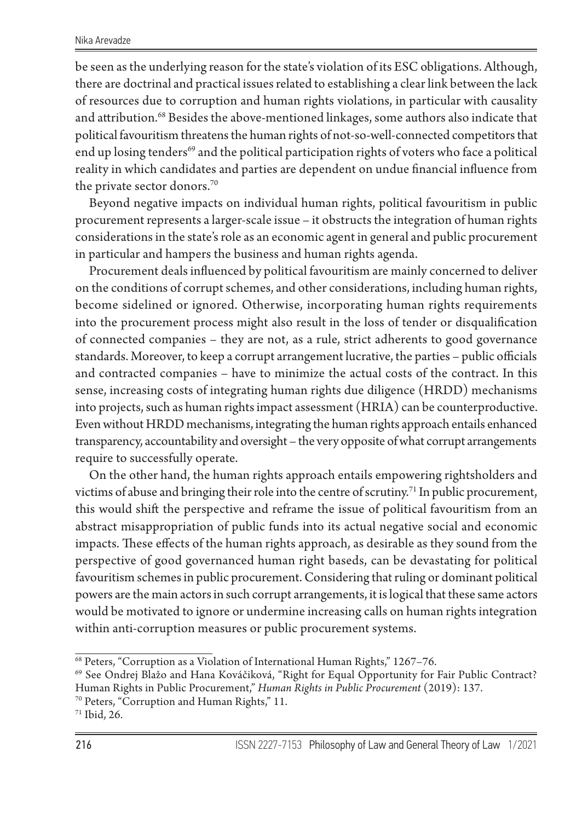be seen as the underlying reason for the state's violation of its ESC obligations. Although, there are doctrinal and practical issues related to establishing a clear link between the lack of resources due to corruption and human rights violations, in particular with causality and attribution.68 Besides the above-mentioned linkages, some authors also indicate that political favouritism threatens the human rights of not-so-well-connected competitors that end up losing tenders<sup>69</sup> and the political participation rights of voters who face a political reality in which candidates and parties are dependent on undue financial influence from the private sector donors.<sup>70</sup>

Beyond negative impacts on individual human rights, political favouritism in public procurement represents a larger-scale issue – it obstructs the integration of human rights considerations in the state's role as an economic agent in general and public procurement in particular and hampers the business and human rights agenda.

Procurement deals influenced by political favouritism are mainly concerned to deliver on the conditions of corrupt schemes, and other considerations, including human rights, become sidelined or ignored. Otherwise, incorporating human rights requirements into the procurement process might also result in the loss of tender or disqualification of connected companies – they are not, as a rule, strict adherents to good governance standards. Moreover, to keep a corrupt arrangement lucrative, the parties – public officials and contracted companies – have to minimize the actual costs of the contract. In this sense, increasing costs of integrating human rights due diligence (HRDD) mechanisms into projects, such as human rights impact assessment (HRIA) can be counterproductive. Even without HRDD mechanisms, integrating the human rights approach entails enhanced transparency, accountability and oversight – the very opposite of what corrupt arrangements require to successfully operate.

On the other hand, the human rights approach entails empowering rightsholders and victims of abuse and bringing their role into the centre of scrutiny.<sup>71</sup> In public procurement, this would shift the perspective and reframe the issue of political favouritism from an abstract misappropriation of public funds into its actual negative social and economic impacts. These effects of the human rights approach, as desirable as they sound from the perspective of good governanced human right baseds, can be devastating for political favouritism schemes in public procurement. Considering that ruling or dominant political powers are the main actors in such corrupt arrangements, it is logical that these same actors would be motivated to ignore or undermine increasing calls on human rights integration within anti-corruption measures or public procurement systems.

<sup>68</sup> Peters, "Corruption as a Violation of International Human Rights," 1267–76.

<sup>69</sup> See Ondrej Blažo and Hana Kováčiková, "Right for Equal Opportunity for Fair Public Contract? Human Rights in Public Procurement," *Human Rights in Public Procurement* (2019): 137.

<sup>70</sup> Peters, "Corruption and Human Rights," 11.

<sup>71</sup> Ibid, 26.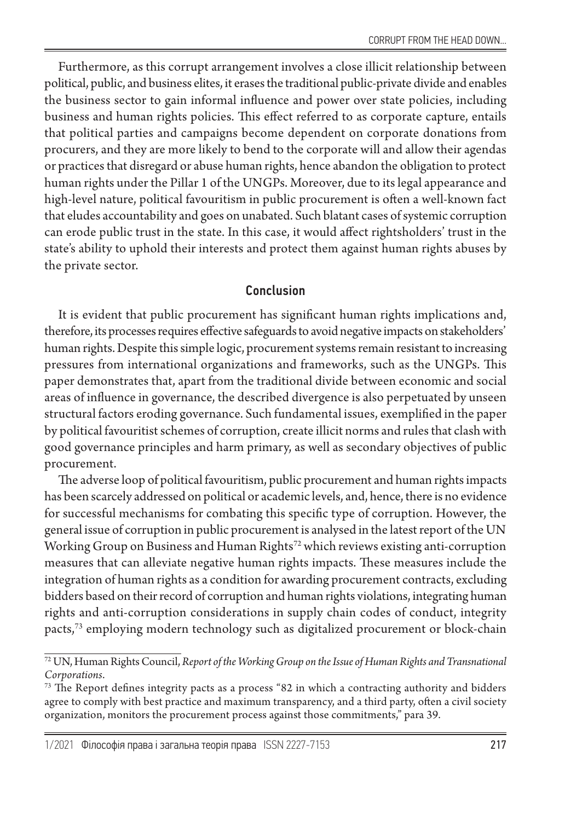Furthermore, as this corrupt arrangement involves a close illicit relationship between political, public, and business elites, it erases the traditional public-private divide and enables the business sector to gain informal influence and power over state policies, including business and human rights policies. This effect referred to as corporate capture, entails that political parties and campaigns become dependent on corporate donations from procurers, and they are more likely to bend to the corporate will and allow their agendas or practices that disregard or abuse human rights, hence abandon the obligation to protect human rights under the Pillar 1 of the UNGPs. Moreover, due to its legal appearance and high-level nature, political favouritism in public procurement is often a well-known fact that eludes accountability and goes on unabated. Such blatant cases of systemic corruption can erode public trust in the state. In this case, it would affect rightsholders' trust in the state's ability to uphold their interests and protect them against human rights abuses by the private sector.

## Conclusion

It is evident that public procurement has significant human rights implications and, therefore, its processes requires effective safeguards to avoid negative impacts on stakeholders' human rights. Despite this simple logic, procurement systems remain resistant to increasing pressures from international organizations and frameworks, such as the UNGPs. This paper demonstrates that, apart from the traditional divide between economic and social areas of influence in governance, the described divergence is also perpetuated by unseen structural factors eroding governance. Such fundamental issues, exemplified in the paper by political favouritist schemes of corruption, create illicit norms and rules that clash with good governance principles and harm primary, as well as secondary objectives of public procurement.

The adverse loop of political favouritism, public procurement and human rights impacts has been scarcely addressed on political or academic levels, and, hence, there is no evidence for successful mechanisms for combating this specific type of corruption. However, the general issue of corruption in public procurement is analysed in the latest report of the UN Working Group on Business and Human Rights<sup>72</sup> which reviews existing anti-corruption measures that can alleviate negative human rights impacts. These measures include the integration of human rights as a condition for awarding procurement contracts, excluding bidders based on their record of corruption and human rights violations, integrating human rights and anti-corruption considerations in supply chain codes of conduct, integrity pacts,73 employing modern technology such as digitalized procurement or block-chain

<sup>72</sup> UN, Human Rights Council, *Report of the Working Group on the Issue of Human Rights and Transnational Corporations*.

<sup>&</sup>lt;sup>73</sup> The Report defines integrity pacts as a process "82 in which a contracting authority and bidders agree to comply with best practice and maximum transparency, and a third party, often a civil society organization, monitors the procurement process against those commitments," para 39.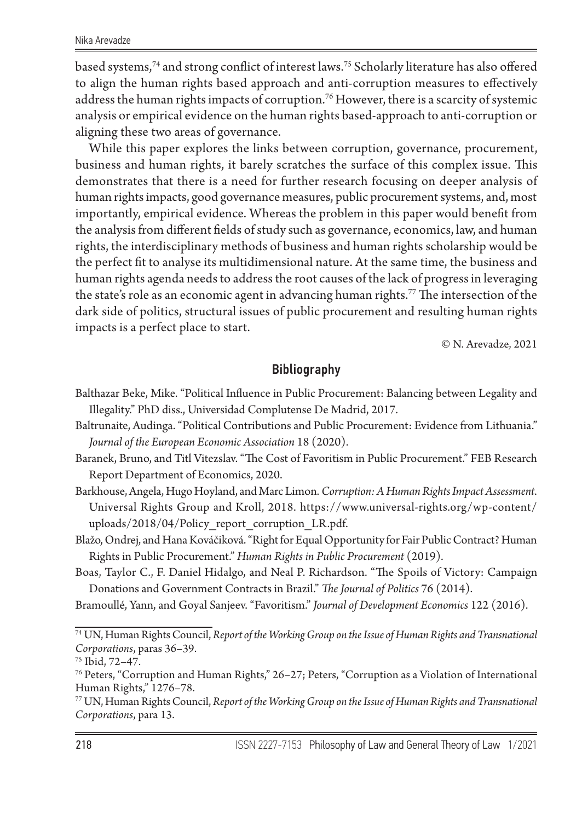based systems,74 and strong conflict of interest laws.75 Scholarly literature has also offered to align the human rights based approach and anti-corruption measures to effectively address the human rights impacts of corruption.<sup>76</sup> However, there is a scarcity of systemic analysis or empirical evidence on the human rights based-approach to anti-corruption or aligning these two areas of governance.

While this paper explores the links between corruption, governance, procurement, business and human rights, it barely scratches the surface of this complex issue. This demonstrates that there is a need for further research focusing on deeper analysis of human rights impacts, good governance measures, public procurement systems, and, most importantly, empirical evidence. Whereas the problem in this paper would benefit from the analysis from different fields of study such as governance, economics, law, and human rights, the interdisciplinary methods of business and human rights scholarship would be the perfect fit to analyse its multidimensional nature. At the same time, the business and human rights agenda needs to address the root causes of the lack of progress in leveraging the state's role as an economic agent in advancing human rights.<sup>77</sup> The intersection of the dark side of politics, structural issues of public procurement and resulting human rights impacts is a perfect place to start.

© N. Arevadze, 2021

## Bibliography

- Balthazar Beke, Mike. "Political Influence in Public Procurement: Balancing between Legality and Illegality." PhD diss., Universidad Complutense De Madrid, 2017.
- Baltrunaite, Audinga. "Political Contributions and Public Procurement: Evidence from Lithuania." *Journal of the European Economic Association* 18 (2020).
- Baranek, Bruno, and Titl Vitezslav. "The Cost of Favoritism in Public Procurement." FEB Research Report Department of Economics, 2020.
- Barkhouse, Angela, Hugo Hoyland, and Marc Limon. *Corruption: A Human Rights Impact Assessment*. Universal Rights Group and Kroll, 2018. https://www.universal-rights.org/wp-content/ uploads/2018/04/Policy report corruption LR.pdf.
- Blažo, Ondrej, and Hana Kováčiková. "Right for Equal Opportunity for Fair Public Contract? Human Rights in Public Procurement." *Human Rights in Public Procurement* (2019).
- Boas, Taylor C., F. Daniel Hidalgo, and Neal P. Richardson. "The Spoils of Victory: Campaign Donations and Government Contracts in Brazil." *The Journal of Politics* 76 (2014).
- Bramoullé, Yann, and Goyal Sanjeev. "Favoritism." *Journal of Development Economics* 122 (2016).

77 UN, Human Rights Council, *Report of the Working Group on the Issue of Human Rights and Transnational Corporations*, para 13.

<sup>74</sup> UN, Human Rights Council, *Report of the Working Group on the Issue of Human Rights and Transnational Corporations*, paras 36–39.

<sup>75</sup> Іbid, 72–47.

<sup>76</sup> Peters, "Corruption and Human Rights," 26–27; Peters, "Corruption as a Violation of International Human Rights," 1276–78.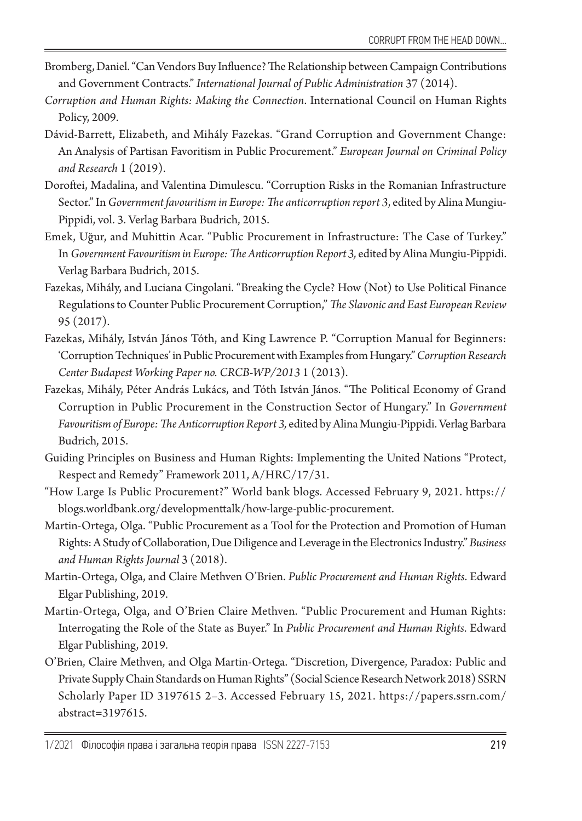- Bromberg, Daniel. "Can Vendors Buy Influence? The Relationship between Campaign Contributions and Government Contracts." *International Journal of Public Administration* 37 (2014).
- *Corruption and Human Rights: Making the Connection*. International Council on Human Rights Policy, 2009.
- Dávid-Barrett, Elizabeth, and Mihály Fazekas. "Grand Corruption and Government Change: An Analysis of Partisan Favoritism in Public Procurement." *European Journal on Criminal Policy and Research* 1 (2019).
- Doroftei, Madalina, and Valentina Dimulescu. "Corruption Risks in the Romanian Infrastructure Sector." Іn *Government favouritism in Europe: The anticorruption report 3*, edited by Alina Mungiu-Pippidi, vol. 3. Verlag Barbara Budrich, 2015.
- Emek, Uğur, and Muhittin Acar. "Public Procurement in Infrastructure: The Case of Turkey." Іn *Government Favouritism in Europe: The Anticorruption Report 3,* edited by Alina Mungiu-Pippidi. Verlag Barbara Budrich, 2015.
- Fazekas, Mihály, and Luciana Cingolani. "Breaking the Cycle? How (Not) to Use Political Finance Regulations to Counter Public Procurement Corruption," *The Slavonic and East European Review* 95 (2017).
- Fazekas, Mihály, István János Tóth, and King Lawrence P. "Corruption Manual for Beginners: 'Corruption Techniques' in Public Procurement with Examples from Hungary." *Corruption Research Center Budapest Working Paper no. CRCB-WP/2013* 1 (2013).
- Fazekas, Mihály, Péter András Lukács, and Tóth István János. "The Political Economy of Grand Corruption in Public Procurement in the Construction Sector of Hungary." Іn *Government Favouritism of Europe: The Anticorruption Report 3,* edited by Alina Mungiu-Pippidi. Verlag Barbara Budrich, 2015.
- Guiding Principles on Business and Human Rights: Implementing the United Nations "Protect, Respect and Remedy" Framework 2011, A/HRC/17/31.
- "How Large Is Public Procurement?" World bank blogs. Аccessed February 9, 2021. https:// blogs.worldbank.org/developmenttalk/how-large-public-procurement.
- Martin-Ortega, Olga. "Public Procurement as a Tool for the Protection and Promotion of Human Rights: A Study of Collaboration, Due Diligence and Leverage in the Electronics Industry." *Business and Human Rights Journal* 3 (2018).
- Martin-Ortega, Olga, and Claire Methven O'Brien. *Public Procurement and Human Rights*. Edward Elgar Publishing, 2019.
- Martin-Ortega, Olga, and O'Brien Claire Methven. "Public Procurement and Human Rights: Interrogating the Role of the State as Buyer." In *Public Procurement and Human Rights*. Edward Elgar Publishing, 2019.
- O'Brien, Claire Methven, and Olga Martin-Ortega. "Discretion, Divergence, Paradox: Public and Private Supply Chain Standards on Human Rights" (Social Science Research Network 2018) SSRN Scholarly Paper ID 3197615 2–3. Accessed February 15, 2021. https://papers.ssrn.com/ abstract=3197615.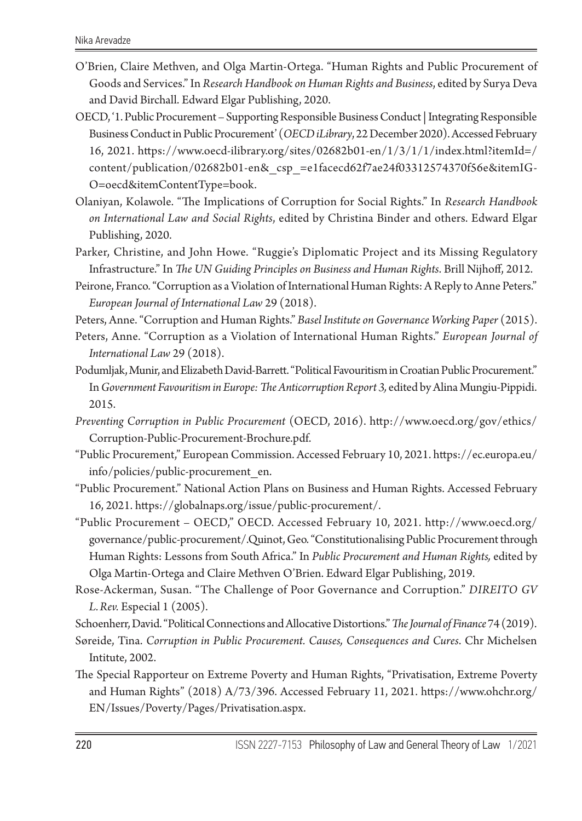- O'Brien, Claire Methven, and Olga Martin-Ortega. "Human Rights and Public Procurement of Goods and Services." Іn *Research Handbook on Human Rights and Business*, edited by Surya Deva and David Birchall. Edward Elgar Publishing, 2020.
- OECD, '1. Public Procurement Supporting Responsible Business Conduct | Integrating Responsible Business Conduct in Public Procurement' (*OECD iLibrary*, 22 December 2020). Accessed February 16, 2021. https://www.oecd-ilibrary.org/sites/02682b01-en/1/3/1/1/index.html?itemId=/ content/publication/02682b01-en&\_csp\_=e1facecd62f7ae24f03312574370f56e&itemIG-O=oecd&itemContentType=book.
- Olaniyan, Kolawole. "The Implications of Corruption for Social Rights." Іn *Research Handbook on International Law and Social Rights*, edited by Christina Binder and others. Edward Elgar Publishing, 2020.
- Parker, Christine, and John Howe. "Ruggie's Diplomatic Project and its Missing Regulatory Infrastructure." Іn *The UN Guiding Principles on Business and Human Rights*. Brill Nijhoff, 2012.
- Peirone, Franco. "Corruption as a Violation of International Human Rights: A Reply to Anne Peters." *European Journal of International Law* 29 (2018).

Peters, Anne. "Corruption and Human Rights." *Basel Institute on Governance Working Paper* (2015).

- Peters, Anne. "Corruption as a Violation of International Human Rights." *European Journal of International Law* 29 (2018).
- Podumljak, Munir, and Elizabeth David-Barrett. "Political Favouritism in Croatian Public Procurement." Іn *Government Favouritism in Europe: The Anticorruption Report 3,* edited by Alina Mungiu-Pippidi. 2015.
- *Preventing Corruption in Public Procurement* (OECD, 2016). http://www.oecd.org/gov/ethics/ Corruption-Public-Procurement-Brochure.pdf.
- "Public Procurement," European Commission. Аccessed February 10, 2021. https://ec.europa.eu/ info/policies/public-procurement\_en.
- "Public Procurement." National Action Plans on Business and Human Rights. Accessed February 16, 2021. https://globalnaps.org/issue/public-procurement/.
- "Public Procurement OECD," OECD. Аccessed February 10, 2021. http://www.oecd.org/ governance/public-procurement/.Quinot, Geo. "Constitutionalising Public Procurement through Human Rights: Lessons from South Africa." In *Public Procurement and Human Rights,* edited by Olga Martin-Ortega and Claire Methven O'Brien. Edward Elgar Publishing, 2019.
- Rose-Ackerman, Susan. "The Challenge of Poor Governance and Corruption." *DIREITO GV L.Rev.* Especial 1 (2005).
- Schoenherr, David. "Political Connections and Allocative Distortions." *The Journal of Finance* 74 (2019).
- Søreide, Tina. *Corruption in Public Procurement. Causes, Consequences and Cures*. Chr Michelsen Intitute, 2002.
- The Special Rapporteur on Extreme Poverty and Human Rights, "Privatisation, Extreme Poverty and Human Rights" (2018) A/73/396. Accessed February 11, 2021. https://www.ohchr.org/ EN/Issues/Poverty/Pages/Privatisation.aspx.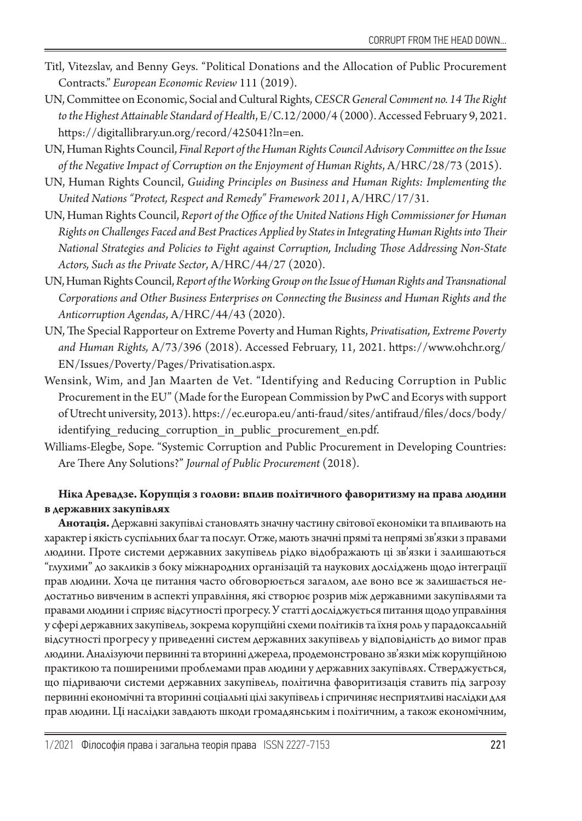- Titl, Vitezslav, and Benny Geys. "Political Donations and the Allocation of Public Procurement Contracts." *European Economic Review* 111 (2019).
- UN, Committee on Economic, Social and Cultural Rights, *CESCR General Comment no. 14 The Right to the Highest Attainable Standard of Health*, E/C.12/2000/4 (2000). Accessed February 9, 2021. https://digitallibrary.un.org/record/425041?ln=en.
- UN, Human Rights Council, *Final Report of the Human Rights Council Advisory Committee on the Issue of the Negative Impact of Corruption on the Enjoyment of Human Rights*, A/HRC/28/73 (2015).
- UN, Human Rights Council, *Guiding Principles on Business and Human Rights: Implementing the United Nations "Protect, Respect and Remedy" Framework 2011*, A/HRC/17/31.
- UN, Human Rights Council, *Report of the Office of the United Nations High Commissioner for Human Rights on Challenges Faced and Best Practices Applied by States in Integrating Human Rights into Their National Strategies and Policies to Fight against Corruption, Including Those Addressing Non-State Actors, Such as the Private Sector*, A/HRC/44/27 (2020).
- UN, Human Rights Council, *Report of the Working Group on the Issue of Human Rights and Transnational Corporations and Other Business Enterprises on Connecting the Business and Human Rights and the Anticorruption Agendas*, A/HRC/44/43 (2020).
- UN, The Special Rapporteur on Extreme Poverty and Human Rights, *Privatisation, Extreme Poverty and Human Rights,* A/73/396 (2018). Accessed February, 11, 2021. https://www.ohchr.org/ EN/Issues/Poverty/Pages/Privatisation.aspx.
- Wensink, Wim, and Jan Maarten de Vet. "Identifying and Reducing Corruption in Public Procurement in the EU" (Made for the European Commission by PwC and Ecorys with support of Utrecht university, 2013). https://ec.europa.eu/anti-fraud/sites/antifraud/files/docs/body/ identifying reducing corruption in public procurement en.pdf.
- Williams-Elegbe, Sope. "Systemic Corruption and Public Procurement in Developing Countries: Are There Any Solutions?" *Journal of Public Procurement* (2018).

#### **Ніка Аревадзе. Корупція з голови: вплив політичного фаворитизму на права людини в державних закупівлях**

**Анотація.** Державні закупівлі становлять значну частину світової економіки та впливають на характер і якість суспільних благ та послуг. Отже, мають значні прямі та непрямі зв'язки з правами людини. Проте системи державних закупівель рідко відображають ці зв'язки і залишаються "глухими" до закликів з боку міжнародних організацій та наукових досліджень щодо інтеграції прав людини. Хоча це питання часто обговорюється загалом, але воно все ж залишається недостатньо вивченим в аспекті управління, які створює розрив між державними закупівлями та правами людини і сприяє відсутності прогресу. У статті досліджується питання щодо управління у сфері державних закупівель, зокрема корупційні схеми політиків та їхня роль у парадоксальній відсутності прогресу у приведенні систем державних закупівель у відповідність до вимог прав людини. Аналізуючи первинні та вторинні джерела, продемонстровано зв'язки між корупційною практикою та поширеними проблемами прав людини у державних закупівлях. Стверджується, що підриваючи системи державних закупівель, політична фаворитизація ставить під загрозу первинні економічні та вторинні соціальні цілі закупівель і спричиняє несприятливі наслідки для прав людини. Ці наслідки завдають шкоди громадянським і політичним, а також економічним,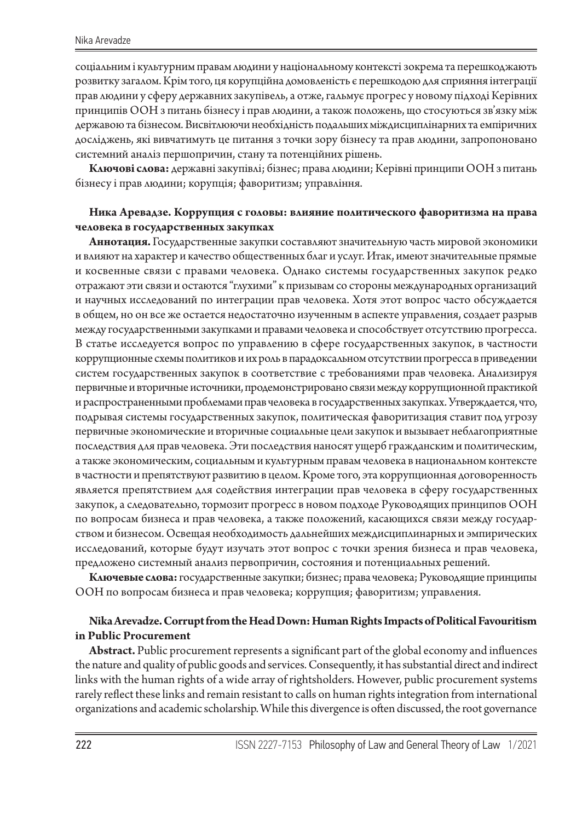соціальним і культурним правам людини у національному контексті зокрема та перешкоджають розвитку загалом. Крім того, ця корупційна домовленість є перешкодою для сприяння інтеграції прав людини у сферу державних закупівель, а отже, гальмує прогрес у новому підході Керівних принципів ООН з питань бізнесу і прав людини, а також положень, що стосуються зв'язку між державою та бізнесом. Висвітлюючи необхідність подальших міждисциплінарних та емпіричних досліджень, які вивчатимуть це питання з точки зору бізнесу та прав людини, запропоновано системний аналіз першопричин, стану та потенційних рішень.

**Ключові слова:** державні закупівлі; бізнес; права людини; Керівні принципи ООН з питань бізнесу і прав людини; корупція; фаворитизм; управління.

#### **Ника Аревадзе. Коррупция с головы: влияние политического фаворитизма на права человека в государственных закупках**

**Аннотация.** Государственные закупки составляют значительную часть мировой экономики и влияют на характер и качество общественных благ и услуг. Итак, имеют значительные прямые и косвенные связи с правами человека. Однако системы государственных закупок редко отражают эти связи и остаются "глухими" к призывам со стороны международных организаций и научных исследований по интеграции прав человека. Хотя этот вопрос часто обсуждается в общем, но он все же остается недостаточно изученным в аспекте управления, создает разрыв между государственными закупками и правами человека и способствует отсутствию прогресса. В статье исследуется вопрос по управлению в сфере государственных закупок, в частности коррупционные схемы политиков и их роль в парадоксальном отсутствии прогресса в приведении систем государственных закупок в соответствие с требованиями прав человека. Анализируя первичные и вторичные источники, продемонстрировано связи между коррупционной практикой и распространенными проблемами прав человека в государственных закупках. Утверждается, что, подрывая системы государственных закупок, политическая фаворитизация ставит под угрозу первичные экономические и вторичные социальные цели закупок и вызывает неблагоприятные последствия для прав человека. Эти последствия наносят ущерб гражданским и политическим, а также экономическим, социальным и культурным правам человека в национальном контексте в частности и препятствуют развитию в целом. Кроме того, эта коррупционная договоренность является препятствием для содействия интеграции прав человека в сферу государственных закупок, а следовательно, тормозит прогресс в новом подходе Руководящих принципов ООН по вопросам бизнеса и прав человека, а также положений, касающихся связи между государством и бизнесом. Освещая необходимость дальнейших междисциплинарных и эмпирических исследований, которые будут изучать этот вопрос с точки зрения бизнеса и прав человека, предложено системный анализ первопричин, состояния и потенциальных решений.

**Ключевые слова:** государственные закупки; бизнес; права человека; Руководящие принципы ООН по вопросам бизнеса и прав человека; коррупция; фаворитизм; управления.

#### **Nika Arevadze. Corrupt from the Head Down: Human Rights Impacts of Political Favouritism in Public Procurement**

**Abstract.** Public procurement represents a significant part of the global economy and influences the nature and quality of public goods and services. Consequently, it has substantial direct and indirect links with the human rights of a wide array of rightsholders. However, public procurement systems rarely reflect these links and remain resistant to calls on human rights integration from international organizations and academic scholarship. While this divergence is often discussed, the root governance